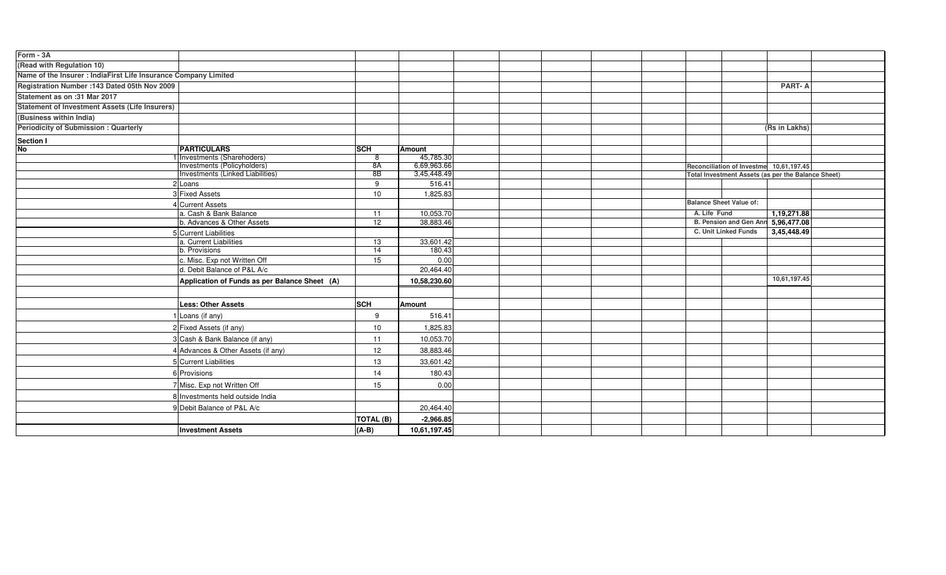| Form - 3A                                                       |                                               |                 |               |  |                                            |                                                    |  |
|-----------------------------------------------------------------|-----------------------------------------------|-----------------|---------------|--|--------------------------------------------|----------------------------------------------------|--|
| (Read with Regulation 10)                                       |                                               |                 |               |  |                                            |                                                    |  |
| Name of the Insurer : IndiaFirst Life Insurance Company Limited |                                               |                 |               |  |                                            |                                                    |  |
| Registration Number : 143 Dated 05th Nov 2009                   |                                               |                 |               |  |                                            | <b>PART-A</b>                                      |  |
| Statement as on :31 Mar 2017                                    |                                               |                 |               |  |                                            |                                                    |  |
| <b>Statement of Investment Assets (Life Insurers)</b>           |                                               |                 |               |  |                                            |                                                    |  |
| (Business within India)                                         |                                               |                 |               |  |                                            |                                                    |  |
| <b>Periodicity of Submission: Quarterly</b>                     |                                               |                 |               |  |                                            | (Rs in Lakhs)                                      |  |
| <b>Section I</b>                                                |                                               |                 |               |  |                                            |                                                    |  |
| <b>No</b>                                                       | <b>PARTICULARS</b>                            | <b>SCH</b>      | <b>Amount</b> |  |                                            |                                                    |  |
|                                                                 | I Investments (Sharehoders)                   | 8               | 45,785.30     |  |                                            |                                                    |  |
|                                                                 | Investments (Policyholders)                   | 8A              | 6,69,963.66   |  |                                            | Reconciliation of Investme 10,61,197.45            |  |
|                                                                 | Investments (Linked Liabilities)              | 8B              | 3,45,448.49   |  |                                            | Total Investment Assets (as per the Balance Sheet) |  |
|                                                                 | 2 Loans                                       | 9               | 516.41        |  |                                            |                                                    |  |
|                                                                 | 3 Fixed Assets                                | 10              | 1,825.83      |  |                                            |                                                    |  |
|                                                                 | 4 Current Assets                              |                 |               |  |                                            | <b>Balance Sheet Value of:</b>                     |  |
|                                                                 | a. Cash & Bank Balance                        | 11              | 10,053.70     |  |                                            | A. Life Fund<br>1,19,271.88                        |  |
|                                                                 | b. Advances & Other Assets                    | 12              | 38,883.46     |  |                                            | B. Pension and Gen Ann 5,96,477.08                 |  |
|                                                                 | 5 Current Liabilities                         |                 |               |  | <b>C. Unit Linked Funds</b><br>3,45,448.49 |                                                    |  |
|                                                                 | a. Current Liabilities                        | 13              | 33,601.42     |  |                                            |                                                    |  |
|                                                                 | b. Provisions                                 | $\overline{14}$ | 180.43        |  |                                            |                                                    |  |
|                                                                 | c. Misc. Exp not Written Off                  | 15              | 0.00          |  |                                            |                                                    |  |
|                                                                 | d. Debit Balance of P&L A/c                   |                 | 20,464.40     |  |                                            |                                                    |  |
|                                                                 | Application of Funds as per Balance Sheet (A) |                 | 10,58,230.60  |  |                                            | 10,61,197.45                                       |  |
|                                                                 |                                               |                 |               |  |                                            |                                                    |  |
|                                                                 | <b>Less: Other Assets</b>                     | <b>SCH</b>      | <b>Amount</b> |  |                                            |                                                    |  |
|                                                                 | 1 Loans (if any)                              | 9               | 516.41        |  |                                            |                                                    |  |
|                                                                 | 2 Fixed Assets (if any)                       | 10              | 1,825.83      |  |                                            |                                                    |  |
|                                                                 | 3 Cash & Bank Balance (if any)                | 11              | 10,053.70     |  |                                            |                                                    |  |
|                                                                 | 4 Advances & Other Assets (if any)            | 12              | 38,883.46     |  |                                            |                                                    |  |
|                                                                 | 5 Current Liabilities                         | 13              | 33,601.42     |  |                                            |                                                    |  |
|                                                                 | 6 Provisions                                  | 14              | 180.43        |  |                                            |                                                    |  |
|                                                                 | 7 Misc. Exp not Written Off                   | 15              | 0.00          |  |                                            |                                                    |  |
|                                                                 | 8 Investments held outside India              |                 |               |  |                                            |                                                    |  |
|                                                                 | 9 Debit Balance of P&L A/c                    |                 | 20,464.40     |  |                                            |                                                    |  |
|                                                                 |                                               | TOTAL (B)       | $-2,966.85$   |  |                                            |                                                    |  |
|                                                                 | <b>Investment Assets</b>                      | $(A-B)$         | 10,61,197.45  |  |                                            |                                                    |  |
|                                                                 |                                               |                 |               |  |                                            |                                                    |  |